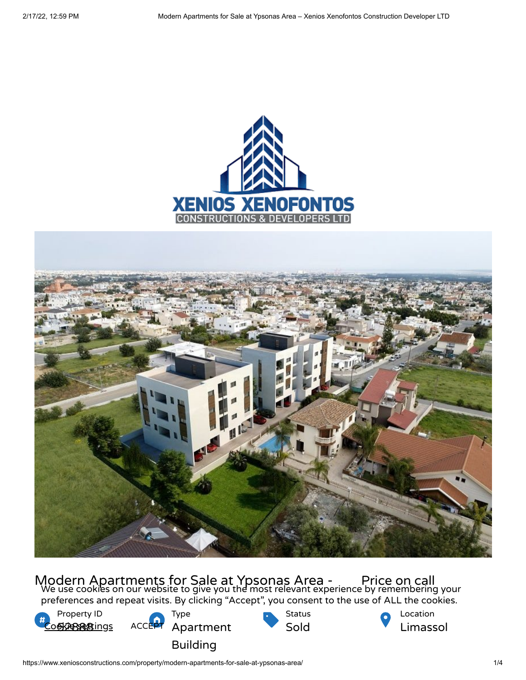



Modern Apartments for Sale at Ypsonas Area - Price on call<br>We use cookies on our website to give you the most relevant experience by remembering your preferences and repeat visits. By clicking "Accept", you consent to the use of ALL the cookies.



Location Limassol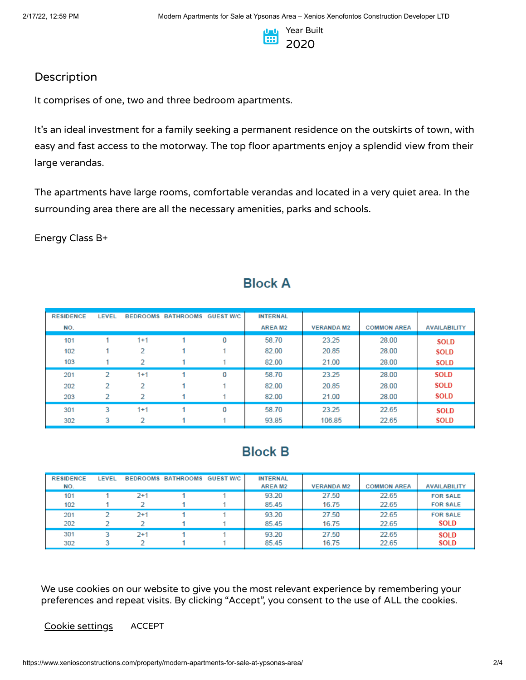

## Description

It comprises of one, two and three bedroom apartments.

It's an ideal investment for a family seeking a permanent residence on the outskirts of town, with easy and fast access to the motorway. The top floor apartments enjoy a splendid view from their large verandas.

The apartments have large rooms, comfortable verandas and located in a very quiet area. In the surrounding area there are all the necessary amenities, parks and schools.

Energy Class B+

| <b>RESIDENCE</b> | LEVEL |         | BEDROOMS BATHROOMS GUEST W/C |   | <b>INTERNAL</b>     |                  |                    |                     |
|------------------|-------|---------|------------------------------|---|---------------------|------------------|--------------------|---------------------|
| NO.              |       |         |                              |   | AREA M <sub>2</sub> | <b>VERANDAM2</b> | <b>COMMON AREA</b> | <b>AVAILABILITY</b> |
| 101              |       | $1 + 1$ |                              | 0 | 58.70               | 23.25            | 28.00              | <b>SOLD</b>         |
| 102              |       | 2       |                              |   | 82.00               | 20.85            | 28.00              | <b>SOLD</b>         |
| 103              |       | 2       |                              |   | 82.00               | 21.00            | 28.00              | <b>SOLD</b>         |
| 201              | 2     | $1+1$   |                              | 0 | 58.70               | 23.25            | 28.00              | <b>SOLD</b>         |
| 202              | 2     | 2       |                              |   | 82.00               | 20.85            | 28.00              | <b>SOLD</b>         |
| 203              | 2     | 2       |                              |   | 82.00               | 21.00            | 28.00              | <b>SOLD</b>         |
| 301              | 3     | $1 + 1$ |                              | 0 | 58.70               | 23.25            | 22.65              | <b>SOLD</b>         |
| 302              | 3     |         |                              |   | 93.85               | 106.85           | 22.65              | <b>SOLD</b>         |

## **Block A**

# **Block B**

| <b>RESIDENCE</b><br>NO. | LEVEL |          | <b>BEDROOMS BATHROOMS</b> | <b>GUEST W/C</b> | <b>INTERNAL</b><br>AREA M <sub>2</sub> | <b>VERANDA M2</b> | <b>COMMON AREA</b> | <b>AVAILABILITY</b>                |
|-------------------------|-------|----------|---------------------------|------------------|----------------------------------------|-------------------|--------------------|------------------------------------|
| 101<br>102              |       | $^{2+1}$ |                           |                  | 93.20<br>85.45                         | 27.50<br>16.75    | 22.65<br>22.65     | <b>FOR SALE</b><br><b>FOR SALE</b> |
| 201<br>202              |       | 2+1      |                           |                  | 93.20<br>85.45                         | 27.50<br>16.75    | 22.65<br>22.65     | <b>FOR SALE</b><br><b>SOLD</b>     |
| 301<br>302              |       | $^{2+1}$ |                           |                  | 93.20<br>85.45                         | 27.50<br>16.75    | 22.65<br>22.65     | <b>SOLD</b><br><b>SOLD</b>         |

We use cookies on our website to give you the most relevant experience by remembering your preferences and repeat visits. By clicking "Accept", you consent to the use of ALL the cookies.

Cookie settings ACCEPT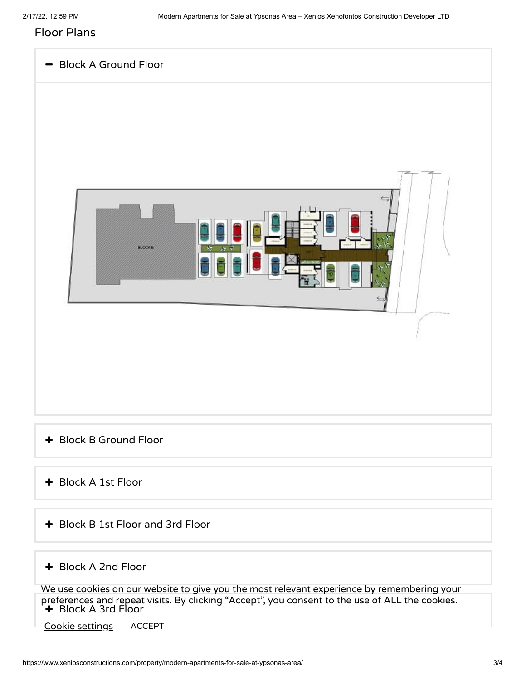### Floor Plans



- Block B Ground Floor
- Block A 1st Floor
- Block B 1st Floor and 3rd Floor

#### Block A 2nd Floor

Block A 3rd Floor We use cookies on our website to give you the most relevant experience by remembering your preferences and repeat visits. By clicking "Accept", you consent to the use of ALL the cookies.

Cookie settings ACCEPT